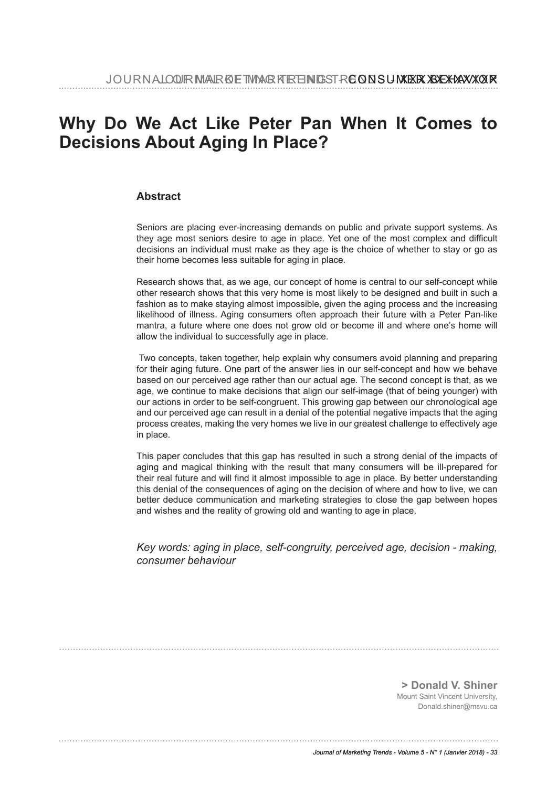# **Why Do We Act Like Peter Pan When It Comes to Decisions About Aging In Place?**

### **Abstract**

Seniors are placing ever-increasing demands on public and private support systems. As they age most seniors desire to age in place. Yet one of the most complex and diffcult decisions an individual must make as they age is the choice of whether to stay or go as their home becomes less suitable for aging in place.

Research shows that, as we age, our concept of home is central to our self-concept while other research shows that this very home is most likely to be designed and built in such a fashion as to make staying almost impossible, given the aging process and the increasing likelihood of illness. Aging consumers often approach their future with a Peter Pan-like mantra, a future where one does not grow old or become ill and where one's home will allow the individual to successfully age in place.

 Two concepts, taken together, help explain why consumers avoid planning and preparing for their aging future. One part of the answer lies in our self-concept and how we behave based on our perceived age rather than our actual age. The second concept is that, as we age, we continue to make decisions that align our self-image (that of being younger) with our actions in order to be self-congruent. This growing gap between our chronological age and our perceived age can result in a denial of the potential negative impacts that the aging process creates, making the very homes we live in our greatest challenge to effectively age in place.

This paper concludes that this gap has resulted in such a strong denial of the impacts of aging and magical thinking with the result that many consumers will be ill-prepared for their real future and will fnd it almost impossible to age in place. By better understanding this denial of the consequences of aging on the decision of where and how to live, we can better deduce communication and marketing strategies to close the gap between hopes and wishes and the reality of growing old and wanting to age in place.

*Key words: aging in place, self-congruity, perceived age, decision - making, consumer behaviour*

**> Donald V. Shiner** Mount Saint Vincent University, Donald.shiner@msvu.ca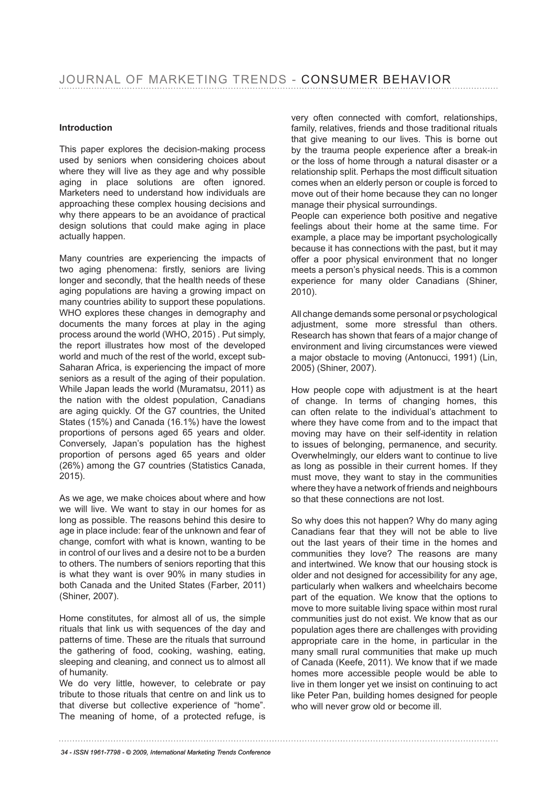#### **Introduction**

This paper explores the decision-making process used by seniors when considering choices about where they will live as they age and why possible aging in place solutions are often ignored. Marketers need to understand how individuals are approaching these complex housing decisions and why there appears to be an avoidance of practical design solutions that could make aging in place actually happen.

Many countries are experiencing the impacts of two aging phenomena: firstly, seniors are living longer and secondly, that the health needs of these aging populations are having a growing impact on many countries ability to support these populations. WHO explores these changes in demography and documents the many forces at play in the aging process around the world (WHO, 2015) . Put simply, the report illustrates how most of the developed world and much of the rest of the world, except sub-Saharan Africa, is experiencing the impact of more seniors as a result of the aging of their population. While Japan leads the world (Muramatsu, 2011) as the nation with the oldest population, Canadians are aging quickly. Of the G7 countries, the United States (15%) and Canada (16.1%) have the lowest proportions of persons aged 65 years and older. Conversely, Japan's population has the highest proportion of persons aged 65 years and older (26%) among the G7 countries (Statistics Canada, 2015).

As we age, we make choices about where and how we will live. We want to stay in our homes for as long as possible. The reasons behind this desire to age in place include: fear of the unknown and fear of change, comfort with what is known, wanting to be in control of our lives and a desire not to be a burden to others. The numbers of seniors reporting that this is what they want is over 90% in many studies in both Canada and the United States (Farber, 2011) (Shiner, 2007).

Home constitutes, for almost all of us, the simple rituals that link us with sequences of the day and patterns of time. These are the rituals that surround the gathering of food, cooking, washing, eating, sleeping and cleaning, and connect us to almost all of humanity.

We do very little, however, to celebrate or pay tribute to those rituals that centre on and link us to that diverse but collective experience of "home". The meaning of home, of a protected refuge, is very often connected with comfort, relationships, family, relatives, friends and those traditional rituals that give meaning to our lives. This is borne out by the trauma people experience after a break-in or the loss of home through a natural disaster or a relationship split. Perhaps the most difficult situation comes when an elderly person or couple is forced to move out of their home because they can no longer manage their physical surroundings.

People can experience both positive and negative feelings about their home at the same time. For example, a place may be important psychologically because it has connections with the past, but it may offer a poor physical environment that no longer meets a person's physical needs. This is a common experience for many older Canadians (Shiner, 2010).

All change demands some personal or psychological adjustment, some more stressful than others. Research has shown that fears of a major change of environment and living circumstances were viewed a major obstacle to moving (Antonucci, 1991) (Lin, 2005) (Shiner, 2007).

How people cope with adjustment is at the heart of change. In terms of changing homes, this can often relate to the individual's attachment to where they have come from and to the impact that moving may have on their self-identity in relation to issues of belonging, permanence, and security. Overwhelmingly, our elders want to continue to live as long as possible in their current homes. If they must move, they want to stay in the communities where they have a network of friends and neighbours so that these connections are not lost.

So why does this not happen? Why do many aging Canadians fear that they will not be able to live out the last years of their time in the homes and communities they love? The reasons are many and intertwined. We know that our housing stock is older and not designed for accessibility for any age, particularly when walkers and wheelchairs become part of the equation. We know that the options to move to more suitable living space within most rural communities just do not exist. We know that as our population ages there are challenges with providing appropriate care in the home, in particular in the many small rural communities that make up much of Canada (Keefe, 2011). We know that if we made homes more accessible people would be able to live in them longer yet we insist on continuing to act like Peter Pan, building homes designed for people who will never grow old or become ill.

*<sup>34 -</sup> ISSN 1961-7798 - © 2009, International Marketing Trends Conference*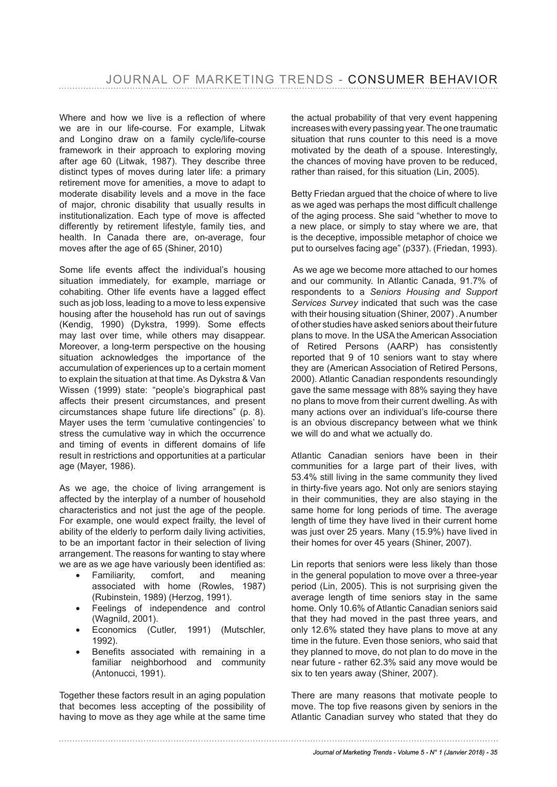Where and how we live is a reflection of where we are in our life-course. For example, Litwak and Longino draw on a family cycle/life-course framework in their approach to exploring moving after age 60 (Litwak, 1987). They describe three distinct types of moves during later life: a primary retirement move for amenities, a move to adapt to moderate disability levels and a move in the face of major, chronic disability that usually results in institutionalization. Each type of move is affected differently by retirement lifestyle, family ties, and health. In Canada there are, on-average, four moves after the age of 65 (Shiner, 2010)

Some life events affect the individual's housing situation immediately, for example, marriage or cohabiting. Other life events have a lagged effect such as job loss, leading to a move to less expensive housing after the household has run out of savings (Kendig, 1990) (Dykstra, 1999). Some effects may last over time, while others may disappear. Moreover, a long-term perspective on the housing situation acknowledges the importance of the accumulation of experiences up to a certain moment to explain the situation at that time. As Dykstra & Van Wissen (1999) state: "people's biographical past affects their present circumstances, and present circumstances shape future life directions" (p. 8). Mayer uses the term 'cumulative contingencies' to stress the cumulative way in which the occurrence and timing of events in different domains of life result in restrictions and opportunities at a particular age (Mayer, 1986).

As we age, the choice of living arrangement is affected by the interplay of a number of household characteristics and not just the age of the people. For example, one would expect frailty, the level of ability of the elderly to perform daily living activities, to be an important factor in their selection of living arrangement. The reasons for wanting to stay where we are as we age have variously been identifed as:

- Familiarity, comfort, and meaning associated with home (Rowles, 1987) (Rubinstein, 1989) (Herzog, 1991).
- Feelings of independence and control (Wagnild, 2001).
- Economics (Cutler, 1991) (Mutschler, 1992).
- Benefits associated with remaining in a familiar neighborhood and community (Antonucci, 1991).

Together these factors result in an aging population that becomes less accepting of the possibility of having to move as they age while at the same time the actual probability of that very event happening increases with every passing year. The one traumatic situation that runs counter to this need is a move motivated by the death of a spouse. Interestingly, the chances of moving have proven to be reduced, rather than raised, for this situation (Lin, 2005).

Betty Friedan argued that the choice of where to live as we aged was perhaps the most difficult challenge of the aging process. She said "whether to move to a new place, or simply to stay where we are, that is the deceptive, impossible metaphor of choice we put to ourselves facing age" (p337). (Friedan, 1993).

 As we age we become more attached to our homes and our community. In Atlantic Canada, 91.7% of respondents to a *Seniors Housing and Support Services Survey* indicated that such was the case with their housing situation (Shiner, 2007) . A number of other studies have asked seniors about their future plans to move. In the USA the American Association of Retired Persons (AARP) has consistently reported that 9 of 10 seniors want to stay where they are (American Association of Retired Persons, 2000). Atlantic Canadian respondents resoundingly gave the same message with 88% saying they have no plans to move from their current dwelling. As with many actions over an individual's life-course there is an obvious discrepancy between what we think we will do and what we actually do.

Atlantic Canadian seniors have been in their communities for a large part of their lives, with 53.4% still living in the same community they lived in thirty-fve years ago. Not only are seniors staying in their communities, they are also staying in the same home for long periods of time. The average length of time they have lived in their current home was just over 25 years. Many (15.9%) have lived in their homes for over 45 years (Shiner, 2007).

Lin reports that seniors were less likely than those in the general population to move over a three-year period (Lin, 2005). This is not surprising given the average length of time seniors stay in the same home. Only 10.6% of Atlantic Canadian seniors said that they had moved in the past three years, and only 12.6% stated they have plans to move at any time in the future. Even those seniors, who said that they planned to move, do not plan to do move in the near future - rather 62.3% said any move would be six to ten years away (Shiner, 2007).

There are many reasons that motivate people to move. The top five reasons given by seniors in the Atlantic Canadian survey who stated that they do

#### *Journal of Marketing Trends - Volume 5 - N° 1 (Janvier 2018) - 35*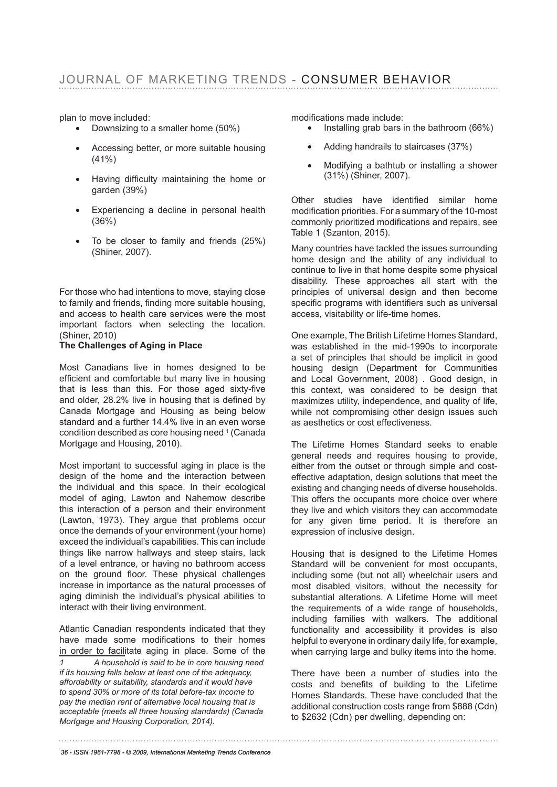## JOURNAL OF MARKETING TRENDS - CONSUMER BEHAVIOR

plan to move included:

- Downsizing to a smaller home (50%)
- Accessing better, or more suitable housing (41%)
- Having difficulty maintaining the home or garden (39%)
- Experiencing a decline in personal health (36%)
- To be closer to family and friends (25%) (Shiner, 2007).

For those who had intentions to move, staying close to family and friends, fnding more suitable housing, and access to health care services were the most important factors when selecting the location. (Shiner, 2010)

#### **The Challenges of Aging in Place**

Most Canadians live in homes designed to be efficient and comfortable but many live in housing that is less than this. For those aged sixty-five and older, 28.2% live in housing that is defned by Canada Mortgage and Housing as being below standard and a further 14.4% live in an even worse condition described as core housing need <sup>1</sup> (Canada Mortgage and Housing, 2010).

Most important to successful aging in place is the design of the home and the interaction between the individual and this space. In their ecological model of aging, Lawton and Nahemow describe this interaction of a person and their environment (Lawton, 1973). They argue that problems occur once the demands of your environment (your home) exceed the individual's capabilities. This can include things like narrow hallways and steep stairs, lack of a level entrance, or having no bathroom access on the ground floor. These physical challenges increase in importance as the natural processes of aging diminish the individual's physical abilities to interact with their living environment.

Atlantic Canadian respondents indicated that they have made some modifications to their homes in order to facilitate aging in place. Some of the *1 A household is said to be in core housing need if its housing falls below at least one of the adequacy, affordability or suitability, standards and it would have to spend 30% or more of its total before-tax income to pay the median rent of alternative local housing that is acceptable (meets all three housing standards) (Canada Mortgage and Housing Corporation, 2014).* 

modifcations made include:

- Installing grab bars in the bathroom (66%)
- Adding handrails to staircases (37%)
- Modifying a bathtub or installing a shower (31%) (Shiner, 2007).

Other studies have identifed similar home modifcation priorities. For a summary of the 10-most commonly prioritized modifications and repairs, see Table 1 (Szanton, 2015).

Many countries have tackled the issues surrounding home design and the ability of any individual to continue to live in that home despite some physical disability. These approaches all start with the principles of universal design and then become specific programs with identifiers such as universal access, visitability or life-time homes.

One example, The British Lifetime Homes Standard, was established in the mid-1990s to incorporate a set of principles that should be implicit in good housing design (Department for Communities and Local Government, 2008) . Good design, in this context, was considered to be design that maximizes utility, independence, and quality of life, while not compromising other design issues such as aesthetics or cost effectiveness.

The Lifetime Homes Standard seeks to enable general needs and requires housing to provide, either from the outset or through simple and costeffective adaptation, design solutions that meet the existing and changing needs of diverse households. This offers the occupants more choice over where they live and which visitors they can accommodate for any given time period. It is therefore an expression of inclusive design.

Housing that is designed to the Lifetime Homes Standard will be convenient for most occupants, including some (but not all) wheelchair users and most disabled visitors, without the necessity for substantial alterations. A Lifetime Home will meet the requirements of a wide range of households, including families with walkers. The additional functionality and accessibility it provides is also helpful to everyone in ordinary daily life, for example, when carrying large and bulky items into the home.

There have been a number of studies into the costs and benefts of building to the Lifetime Homes Standards. These have concluded that the additional construction costs range from \$888 (Cdn) to \$2632 (Cdn) per dwelling, depending on:

*36 - ISSN 1961-7798 - © 2009, International Marketing Trends Conference*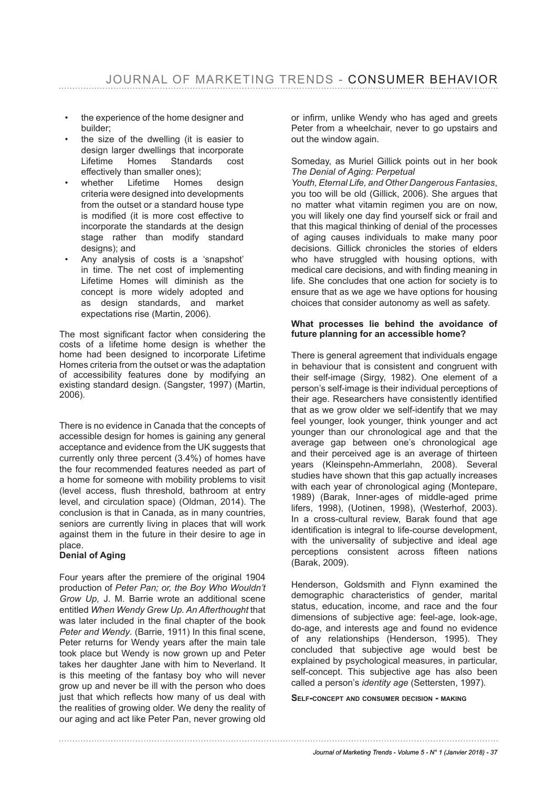- the experience of the home designer and builder;
- the size of the dwelling (it is easier to design larger dwellings that incorporate Lifetime Homes Standards cost effectively than smaller ones);
- whether Lifetime Homes design criteria were designed into developments from the outset or a standard house type is modifed (it is more cost effective to incorporate the standards at the design stage rather than modify standard designs); and
- Any analysis of costs is a 'snapshot' in time. The net cost of implementing Lifetime Homes will diminish as the concept is more widely adopted and as design standards, and market expectations rise (Martin, 2006).

The most significant factor when considering the costs of a lifetime home design is whether the home had been designed to incorporate Lifetime Homes criteria from the outset or was the adaptation of accessibility features done by modifying an existing standard design. (Sangster, 1997) (Martin, 2006).

There is no evidence in Canada that the concepts of accessible design for homes is gaining any general acceptance and evidence from the UK suggests that currently only three percent (3.4%) of homes have the four recommended features needed as part of a home for someone with mobility problems to visit (level access, fush threshold, bathroom at entry level, and circulation space) (Oldman, 2014). The conclusion is that in Canada, as in many countries, seniors are currently living in places that will work against them in the future in their desire to age in place.

#### **Denial of Aging**

Four years after the premiere of the original 1904 production of *Peter Pan; or, the Boy Who Wouldn't Grow Up,* J. M. Barrie wrote an additional scene entitled *When Wendy Grew Up. An Afterthought* that was later included in the final chapter of the book Peter and Wendy. (Barrie, 1911) In this final scene, Peter returns for Wendy years after the main tale took place but Wendy is now grown up and Peter takes her daughter Jane with him to Neverland. It is this meeting of the fantasy boy who will never grow up and never be ill with the person who does just that which reflects how many of us deal with the realities of growing older. We deny the reality of our aging and act like Peter Pan, never growing old

or infrm, unlike Wendy who has aged and greets Peter from a wheelchair, never to go upstairs and out the window again.

#### Someday, as Muriel Gillick points out in her book *The Denial of Aging: Perpetual*

*Youth, Eternal Life, and Other Dangerous Fantasies*, you too will be old (Gillick, 2006). She argues that no matter what vitamin regimen you are on now, you will likely one day find yourself sick or frail and that this magical thinking of denial of the processes of aging causes individuals to make many poor decisions. Gillick chronicles the stories of elders who have struggled with housing options, with medical care decisions, and with fnding meaning in life. She concludes that one action for society is to ensure that as we age we have options for housing choices that consider autonomy as well as safety.

#### **What processes lie behind the avoidance of future planning for an accessible home?**

There is general agreement that individuals engage in behaviour that is consistent and congruent with their self-image (Sirgy, 1982). One element of a person's self-image is their individual perceptions of their age. Researchers have consistently identifed that as we grow older we self-identify that we may feel younger, look younger, think younger and act younger than our chronological age and that the average gap between one's chronological age and their perceived age is an average of thirteen years (Kleinspehn-Ammerlahn, 2008). Several studies have shown that this gap actually increases with each year of chronological aging (Montepare, 1989) (Barak, Inner-ages of middle-aged prime lifers, 1998), (Uotinen, 1998), (Westerhof, 2003). In a cross-cultural review, Barak found that age identifcation is integral to life-course development, with the universality of subjective and ideal age perceptions consistent across ffteen nations (Barak, 2009).

Henderson, Goldsmith and Flynn examined the demographic characteristics of gender, marital status, education, income, and race and the four dimensions of subjective age: feel-age, look-age, do-age, and interests age and found no evidence of any relationships (Henderson, 1995). They concluded that subjective age would best be explained by psychological measures, in particular, self-concept. This subjective age has also been called a person's *identity age* (Settersten, 1997)*.*

**sElf-concEpt anD consumEr DEcision - makinG**

#### *Journal of Marketing Trends - Volume 5 - N° 1 (Janvier 2018) - 37*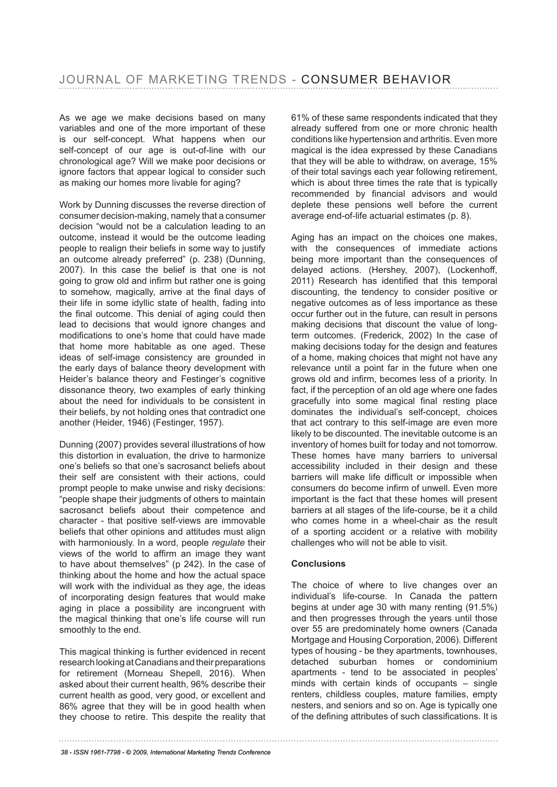As we age we make decisions based on many variables and one of the more important of these is our self-concept. What happens when our self-concept of our age is out-of-line with our chronological age? Will we make poor decisions or ignore factors that appear logical to consider such as making our homes more livable for aging?

Work by Dunning discusses the reverse direction of consumer decision-making, namely that a consumer decision "would not be a calculation leading to an outcome, instead it would be the outcome leading people to realign their beliefs in some way to justify an outcome already preferred" (p. 238) (Dunning, 2007). In this case the belief is that one is not going to grow old and infrm but rather one is going to somehow, magically, arrive at the final days of their life in some idyllic state of health, fading into the final outcome. This denial of aging could then lead to decisions that would ignore changes and modifcations to one's home that could have made that home more habitable as one aged. These ideas of self-image consistency are grounded in the early days of balance theory development with Heider's balance theory and Festinger's cognitive dissonance theory, two examples of early thinking about the need for individuals to be consistent in their beliefs, by not holding ones that contradict one another (Heider, 1946) (Festinger, 1957).

Dunning (2007) provides several illustrations of how this distortion in evaluation, the drive to harmonize one's beliefs so that one's sacrosanct beliefs about their self are consistent with their actions, could prompt people to make unwise and risky decisions: "people shape their judgments of others to maintain sacrosanct beliefs about their competence and character - that positive self-views are immovable beliefs that other opinions and attitudes must align with harmoniously. In a word, people *regulate* their views of the world to affrm an image they want to have about themselves" (p 242). In the case of thinking about the home and how the actual space will work with the individual as they age, the ideas of incorporating design features that would make aging in place a possibility are incongruent with the magical thinking that one's life course will run smoothly to the end.

This magical thinking is further evidenced in recent research looking at Canadians and their preparations for retirement (Morneau Shepell, 2016). When asked about their current health, 96% describe their current health as good, very good, or excellent and 86% agree that they will be in good health when they choose to retire. This despite the reality that

61% of these same respondents indicated that they already suffered from one or more chronic health conditions like hypertension and arthritis. Even more magical is the idea expressed by these Canadians that they will be able to withdraw, on average, 15% of their total savings each year following retirement, which is about three times the rate that is typically recommended by financial advisors and would deplete these pensions well before the current average end-of-life actuarial estimates (p. 8).

Aging has an impact on the choices one makes, with the consequences of immediate actions being more important than the consequences of delayed actions. (Hershey, 2007), (Lockenhoff, 2011) Research has identifed that this temporal discounting, the tendency to consider positive or negative outcomes as of less importance as these occur further out in the future, can result in persons making decisions that discount the value of longterm outcomes. (Frederick, 2002) In the case of making decisions today for the design and features of a home, making choices that might not have any relevance until a point far in the future when one grows old and infrm, becomes less of a priority. In fact, if the perception of an old age where one fades gracefully into some magical fnal resting place dominates the individual's self-concept, choices that act contrary to this self-image are even more likely to be discounted. The inevitable outcome is an inventory of homes built for today and not tomorrow. These homes have many barriers to universal accessibility included in their design and these barriers will make life difficult or impossible when consumers do become infrm of unwell. Even more important is the fact that these homes will present barriers at all stages of the life-course, be it a child who comes home in a wheel-chair as the result of a sporting accident or a relative with mobility challenges who will not be able to visit.

#### **Conclusions**

The choice of where to live changes over an individual's life-course. In Canada the pattern begins at under age 30 with many renting (91.5%) and then progresses through the years until those over 55 are predominately home owners (Canada Mortgage and Housing Corporation, 2006). Different types of housing - be they apartments, townhouses, detached suburban homes or condominium apartments - tend to be associated in peoples' minds with certain kinds of occupants – single renters, childless couples, mature families, empty nesters, and seniors and so on. Age is typically one of the defning attributes of such classifcations. It is

*38 - ISSN 1961-7798 - © 2009, International Marketing Trends Conference*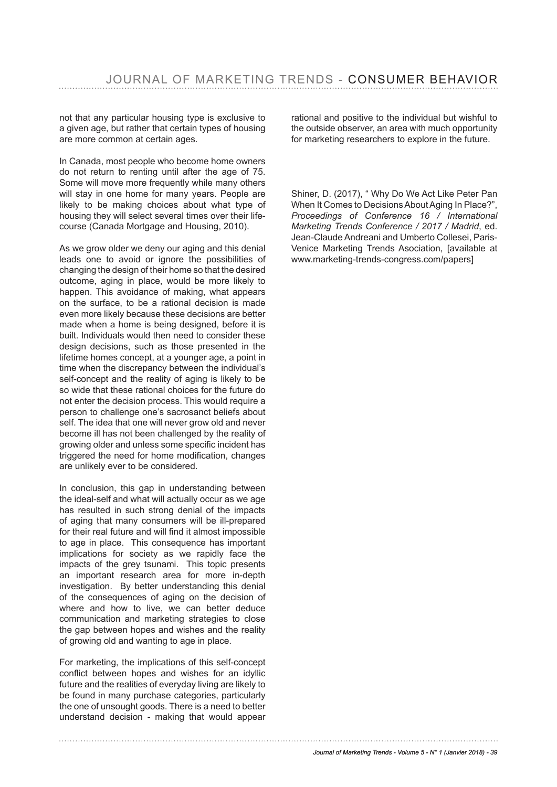not that any particular housing type is exclusive to a given age, but rather that certain types of housing are more common at certain ages.

In Canada, most people who become home owners do not return to renting until after the age of 75. Some will move more frequently while many others will stay in one home for many years. People are likely to be making choices about what type of housing they will select several times over their lifecourse (Canada Mortgage and Housing, 2010).

As we grow older we deny our aging and this denial leads one to avoid or ignore the possibilities of changing the design of their home so that the desired outcome, aging in place, would be more likely to happen. This avoidance of making, what appears on the surface, to be a rational decision is made even more likely because these decisions are better made when a home is being designed, before it is built. Individuals would then need to consider these design decisions, such as those presented in the lifetime homes concept, at a younger age, a point in time when the discrepancy between the individual's self-concept and the reality of aging is likely to be so wide that these rational choices for the future do not enter the decision process. This would require a person to challenge one's sacrosanct beliefs about self. The idea that one will never grow old and never become ill has not been challenged by the reality of growing older and unless some specific incident has triggered the need for home modifcation, changes are unlikely ever to be considered.

In conclusion, this gap in understanding between the ideal-self and what will actually occur as we age has resulted in such strong denial of the impacts of aging that many consumers will be ill-prepared for their real future and will find it almost impossible to age in place. This consequence has important implications for society as we rapidly face the impacts of the grey tsunami. This topic presents an important research area for more in-depth investigation. By better understanding this denial of the consequences of aging on the decision of where and how to live, we can better deduce communication and marketing strategies to close the gap between hopes and wishes and the reality of growing old and wanting to age in place.

For marketing, the implications of this self-concept confict between hopes and wishes for an idyllic future and the realities of everyday living are likely to be found in many purchase categories, particularly the one of unsought goods. There is a need to better understand decision - making that would appear

rational and positive to the individual but wishful to the outside observer, an area with much opportunity for marketing researchers to explore in the future.

Shiner, D. (2017), " Why Do We Act Like Peter Pan When It Comes to Decisions About Aging In Place?". *Proceedings of Conference 16 / International Marketing Trends Conference / 2017 / Madrid*, ed. Jean-Claude Andreani and Umberto Collesei, Paris-Venice Marketing Trends Asociation, [available at www.marketing-trends-congress.com/papers]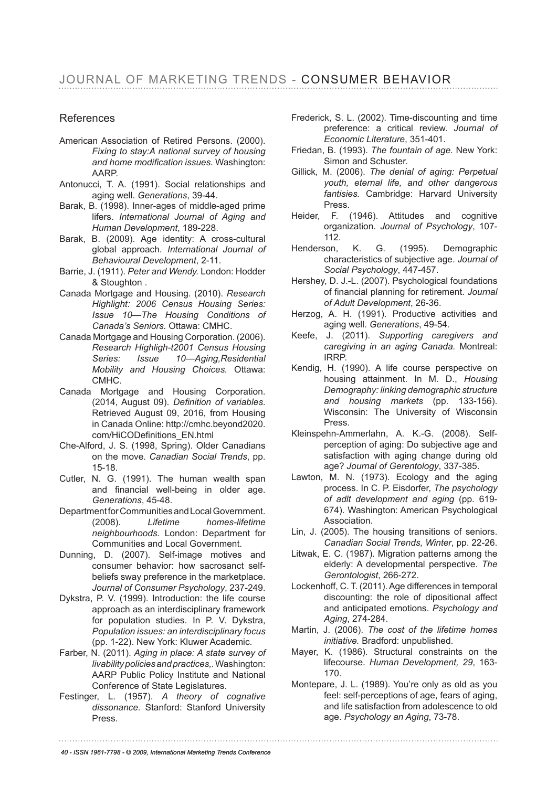## References

- American Association of Retired Persons. (2000). *Fixing to stay:A national survey of housing and home modifcation issues.* Washington: AARP.
- Antonucci, T. A. (1991). Social relationships and aging well. *Generations*, 39-44.
- Barak, B. (1998). Inner-ages of middle-aged prime lifers. *International Journal of Aging and Human Development*, 189-228.
- Barak, B. (2009). Age identity: A cross-cultural global approach. *International Journal of Behavioural Development*, 2-11.
- Barrie, J. (1911). *Peter and Wendy.* London: Hodder & Stoughton .
- Canada Mortgage and Housing. (2010). *Research Highlight: 2006 Census Housing Series: Issue 10—The Housing Conditions of Canada's Seniors.* Ottawa: CMHC.
- Canada Mortgage and Housing Corporation. (2006). *Research Highligh-t2001 Census Housing Series: Issue 10—Aging,Residential Mobility and Housing Choices.* Ottawa: CMHC.
- Canada Mortgage and Housing Corporation. (2014, August 09). *Defnition of variables*. Retrieved August 09, 2016, from Housing in Canada Online: http://cmhc.beyond2020. com/HiCODefinitions\_EN.html
- Che-Alford, J. S. (1998, Spring). Older Canadians on the move. *Canadian Social Trends*, pp. 15-18.
- Cutler, N. G. (1991). The human wealth span and financial well-being in older age. *Generations*, 45-48.
- Department for Communities and Local Government. (2008). *Lifetime homes-lifetime neighbourhoods.* London: Department for Communities and Local Government.
- Dunning, D. (2007). Self-image motives and consumer behavior: how sacrosanct selfbeliefs sway preference in the marketplace. *Journal of Consumer Psychology*, 237-249.
- Dykstra, P. V. (1999). Introduction: the life course approach as an interdisciplinary framework for population studies. In P. V. Dykstra, *Population issues: an interdisciplinary focus* (pp. 1-22). New York: Kluwer Academic.
- Farber, N. (2011). *Aging in place: A state survey of livability policies and practices,.* Washington: AARP Public Policy Institute and National Conference of State Legislatures.
- Festinger, L. (1957). *A theory of cognative dissonance.* Stanford: Stanford University Press.
- Frederick, S. L. (2002). Time-discounting and time preference: a critical review. *Journal of Economic Literature*, 351-401.
- Friedan, B. (1993). *The fountain of age.* New York: Simon and Schuster.
- Gillick, M. (2006). *The denial of aging: Perpetual youth, eternal life, and other dangerous fantisies.* Cambridge: Harvard University Press.
- Heider, F. (1946). Attitudes and cognitive organization. *Journal of Psychology*, 107- 112.
- Henderson, K. G. (1995). Demographic characteristics of subjective age. *Journal of Social Psychology*, 447-457.
- Hershey, D. J.-L. (2007). Psychological foundations of fnancial planning for retirement. *Journal of Adult Development*, 26-36.
- Herzog, A. H. (1991). Productive activities and aging well. *Generations*, 49-54.
- Keefe, J. (2011). *Supporting caregivers and caregiving in an aging Canada.* Montreal: IRRP.
- Kendig, H. (1990). A life course perspective on housing attainment. In M. D., *Housing Demography: linking demographic structure and housing markets* (pp. 133-156). Wisconsin: The University of Wisconsin Press.
- Kleinspehn-Ammerlahn, A. K.-G. (2008). Selfperception of aging: Do subjective age and satisfaction with aging change during old age? *Journal of Gerentology*, 337-385.
- Lawton, M. N. (1973). Ecology and the aging process. In C. P. Eisdorfer, *The psychology of adlt development and aging* (pp. 619- 674). Washington: American Psychological Association.
- Lin, J. (2005). The housing transitions of seniors. *Canadian Social Trends, Winter*, pp. 22-26.
- Litwak, E. C. (1987). Migration patterns among the elderly: A developmental perspective. *The Gerontologist*, 266-272.
- Lockenhoff, C. T. (2011). Age differences in temporal discounting: the role of dipositional affect and anticipated emotions. *Psychology and Aging*, 274-284.
- Martin, J. (2006). *The cost of the lifetime homes initiative.* Bradford: unpublished.
- Mayer, K. (1986). Structural constraints on the lifecourse. *Human Development, 29*, 163- 170.
- Montepare, J. L. (1989). You're only as old as you feel: self-perceptions of age, fears of aging, and life satisfaction from adolescence to old age. *Psychology an Aging*, 73-78.

*40 - ISSN 1961-7798 - © 2009, International Marketing Trends Conference*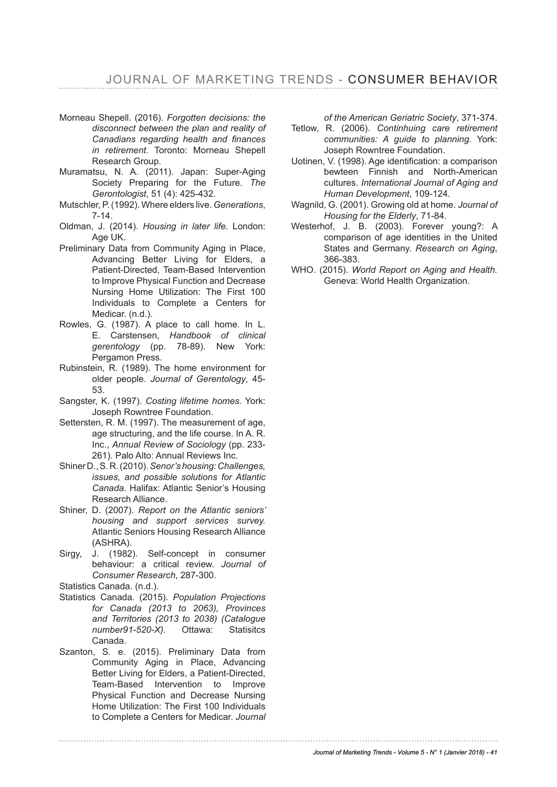JOURNAL OF MARKETING TRENDS - CONSUMER BEHAVIOR

- Morneau Shepell. (2016). *Forgotten decisions: the disconnect between the plan and reality of Canadians regarding health and fnances in retirement.* Toronto: Morneau Shepell Research Group.
- Muramatsu, N. A. (2011). Japan: Super-Aging Society Preparing for the Future. *The Gerontologist*, 51 (4): 425-432.
- Mutschler, P. (1992). Where elders live. *Generations*, 7-14.
- Oldman, J. (2014). *Housing in later life.* London: Age UK.
- Preliminary Data from Community Aging in Place, Advancing Better Living for Elders, a Patient-Directed, Team-Based Intervention to Improve Physical Function and Decrease Nursing Home Utilization: The First 100 Individuals to Complete a Centers for Medicar. (n.d.).
- Rowles, G. (1987). A place to call home. In L. E. Carstensen, *Handbook of clinical gerentology* (pp. 78-89). New York: Pergamon Press.
- Rubinstein, R. (1989). The home environment for older people. *Journal of Gerentology*, 45- 53.
- Sangster, K. (1997). *Costing lifetime homes.* York: Joseph Rowntree Foundation.
- Settersten, R. M. (1997). The measurement of age, age structuring, and the life course. In A. R. Inc., *Annual Review of Sociology* (pp. 233- 261). Palo Alto: Annual Reviews Inc.
- Shiner D., S. R. (2010). *Senor's housing: Challenges, issues, and possible solutions for Atlantic Canada.* Halifax: Atlantic Senior's Housing Research Alliance.
- Shiner, D. (2007). *Report on the Atlantic seniors' housing and support services survey.* Atlantic Seniors Housing Research Alliance (ASHRA).
- Sirgy, J. (1982). Self-concept in consumer behaviour: a critical review. *Journal of Consumer Research*, 287-300.
- Statistics Canada. (n.d.).
- Statistics Canada. (2015). *Population Projections for Canada (2013 to 2063), Provinces and Territories (2013 to 2038) (Catalogue number91-520-X).* Ottawa: Statisitcs Canada.
- Szanton, S. e. (2015). Preliminary Data from Community Aging in Place, Advancing Better Living for Elders, a Patient-Directed, Team-Based Intervention to Improve Physical Function and Decrease Nursing Home Utilization: The First 100 Individuals to Complete a Centers for Medicar. *Journal*

*of the American Geriatric Society*, 371-374.

- Tetlow, R. (2006). *Continhuing care retirement communities: A guide to planning.* York: Joseph Rowntree Foundation.
- Uotinen, V. (1998). Age identifcation: a comparison bewteen Finnish and North-American cultures. *International Journal of Aging and Human Development*, 109-124.
- Wagnild, G. (2001). Growing old at home. *Journal of Housing for the Elderly*, 71-84.
- Westerhof, J. B. (2003). Forever young?: A comparison of age identities in the United States and Germany. *Research on Aging*, 366-383.
- WHO. (2015). *World Report on Aging and Health.* Geneva: World Health Organization.

*Journal of Marketing Trends - Volume 5 - N° 1 (Janvier 2018) - 41*